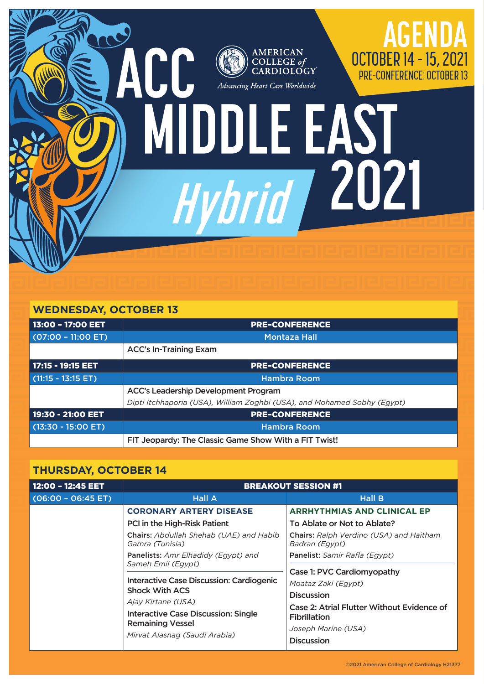

## **WEDNESDAY, OCTOBER 13**

| 13:00 - 17:00 EET    | <b>PRE-CONFERENCE</b>                                                    |  |  |
|----------------------|--------------------------------------------------------------------------|--|--|
| $(07:00 - 11:00$ ET) | <b>Montaza Hall</b>                                                      |  |  |
|                      | <b>ACC's In-Training Exam</b>                                            |  |  |
| 17:15 - 19:15 EET    | <b>PRE-CONFERENCE</b>                                                    |  |  |
| $(11:15 - 13:15 ET)$ | <b>Hambra Room</b>                                                       |  |  |
|                      | <b>ACC's Leadership Development Program</b>                              |  |  |
|                      | Dipti Itchhaporia (USA), William Zoghbi (USA), and Mohamed Sobhy (Egypt) |  |  |
| 19:30 - 21:00 EET    | <b>PRE-CONFERENCE</b>                                                    |  |  |
| $(13:30 - 15:00$ ET) | <b>Hambra Room</b>                                                       |  |  |
|                      | FIT Jeopardy: The Classic Game Show With a FIT Twist!                    |  |  |

## **THURSDAY, OCTOBER 14**

| 12:00 - 12:45 EET     | <b>BREAKOUT SESSION #1</b>                                                                                                                                                                                                                                                                                                                                                                     |                                                                                                                                                                                                                                                                                                                                                                   |  |  |
|-----------------------|------------------------------------------------------------------------------------------------------------------------------------------------------------------------------------------------------------------------------------------------------------------------------------------------------------------------------------------------------------------------------------------------|-------------------------------------------------------------------------------------------------------------------------------------------------------------------------------------------------------------------------------------------------------------------------------------------------------------------------------------------------------------------|--|--|
| $(06:00 - 06:45 E T)$ | <b>Hall A</b>                                                                                                                                                                                                                                                                                                                                                                                  | <b>Hall B</b>                                                                                                                                                                                                                                                                                                                                                     |  |  |
|                       | <b>CORONARY ARTERY DISEASE</b><br>PCI in the High-Risk Patient<br>Chairs: Abdullah Shehab (UAE) and Habib<br>Gamra (Tunisia)<br>Panelists: Amr Elhadidy (Egypt) and<br>Sameh Emil (Egypt)<br>Interactive Case Discussion: Cardiogenic<br><b>Shock With ACS</b><br>Ajay Kirtane (USA)<br><b>Interactive Case Discussion: Single</b><br><b>Remaining Vessel</b><br>Mirvat Alasnag (Saudi Arabia) | <b>ARRHYTHMIAS AND CLINICAL EP</b><br>To Ablate or Not to Ablate?<br><b>Chairs:</b> Ralph Verdino (USA) and Haitham<br>Badran (Egypt)<br>Panelist: Samir Rafla (Egypt)<br>Case 1: PVC Cardiomyopathy<br>Moataz Zaki (Egypt)<br><b>Discussion</b><br>Case 2: Atrial Flutter Without Evidence of<br><b>Fibrillation</b><br>Joseph Marine (USA)<br><b>Discussion</b> |  |  |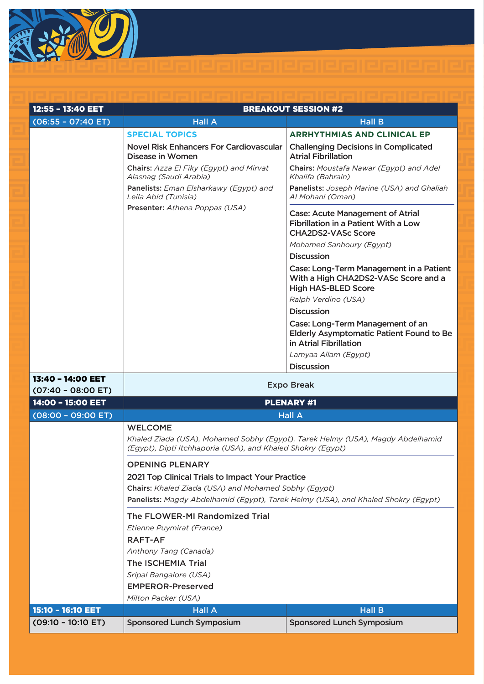

| 12:55 - 13:40 EET<br>$(06:55 - 07:40 E)$  | <b>Hall A</b>                                                                                                                                                              | <b>BREAKOUT SESSION #2</b><br><b>Hall B</b>                                                                   |  |  |  |
|-------------------------------------------|----------------------------------------------------------------------------------------------------------------------------------------------------------------------------|---------------------------------------------------------------------------------------------------------------|--|--|--|
|                                           | <b>SPECIAL TOPICS</b>                                                                                                                                                      | <b>ARRHYTHMIAS AND CLINICAL EP</b>                                                                            |  |  |  |
|                                           | <b>Novel Risk Enhancers For Cardiovascular</b><br>Disease in Women                                                                                                         | <b>Challenging Decisions in Complicated</b><br><b>Atrial Fibrillation</b>                                     |  |  |  |
|                                           | Chairs: Azza El Fiky (Egypt) and Mirvat<br>Alasnag (Saudi Arabia)                                                                                                          | Chairs: Moustafa Nawar (Egypt) and Adel<br>Khalifa (Bahrain)                                                  |  |  |  |
|                                           | Panelists: Eman Elsharkawy (Egypt) and<br>Leila Abid (Tunisia)                                                                                                             | Panelists: Joseph Marine (USA) and Ghaliah<br>Al Mohani (Oman)                                                |  |  |  |
|                                           | Presenter: Athena Poppas (USA)<br><b>Case: Acute Management of Atrial</b><br>Fibrillation in a Patient With a Low<br><b>CHA2DS2-VASc Score</b><br>Mohamed Sanhoury (Egypt) |                                                                                                               |  |  |  |
|                                           |                                                                                                                                                                            | <b>Discussion</b>                                                                                             |  |  |  |
|                                           |                                                                                                                                                                            | Case: Long-Term Management in a Patient<br>With a High CHA2DS2-VASc Score and a<br><b>High HAS-BLED Score</b> |  |  |  |
|                                           |                                                                                                                                                                            | Ralph Verdino (USA)                                                                                           |  |  |  |
|                                           |                                                                                                                                                                            | <b>Discussion</b>                                                                                             |  |  |  |
|                                           |                                                                                                                                                                            | Case: Long-Term Management of an<br><b>Elderly Asymptomatic Patient Found to Be</b><br>in Atrial Fibrillation |  |  |  |
|                                           |                                                                                                                                                                            | Lamyaa Allam (Egypt)                                                                                          |  |  |  |
|                                           |                                                                                                                                                                            | <b>Discussion</b>                                                                                             |  |  |  |
| 13:40 - 14:00 EET<br>$(07:40 - 08:00 ET)$ |                                                                                                                                                                            | <b>Expo Break</b>                                                                                             |  |  |  |
| 14:00 - 15:00 EET                         |                                                                                                                                                                            | <b>PLENARY #1</b>                                                                                             |  |  |  |
| $(08:00 - 09:00 ET)$                      |                                                                                                                                                                            | <b>Hall A</b>                                                                                                 |  |  |  |
|                                           | <b>WELCOME</b><br>Khaled Ziada (USA), Mohamed Sobhy (Egypt), Tarek Helmy (USA), Magdy Abdelhamid<br>(Egypt), Dipti Itchhaporia (USA), and Khaled Shokry (Egypt)            |                                                                                                               |  |  |  |
|                                           | <b>OPENING PLENARY</b>                                                                                                                                                     |                                                                                                               |  |  |  |
|                                           | 2021 Top Clinical Trials to Impact Your Practice                                                                                                                           |                                                                                                               |  |  |  |
|                                           | Chairs: Khaled Ziada (USA) and Mohamed Sobhy (Egypt)                                                                                                                       |                                                                                                               |  |  |  |
|                                           | Panelists: Magdy Abdelhamid (Egypt), Tarek Helmy (USA), and Khaled Shokry (Egypt)                                                                                          |                                                                                                               |  |  |  |
|                                           | The FLOWER-MI Randomized Trial                                                                                                                                             |                                                                                                               |  |  |  |
|                                           | Etienne Puymirat (France)                                                                                                                                                  |                                                                                                               |  |  |  |
|                                           | <b>RAFT-AF</b>                                                                                                                                                             |                                                                                                               |  |  |  |
|                                           | Anthony Tang (Canada)                                                                                                                                                      |                                                                                                               |  |  |  |
|                                           | The ISCHEMIA Trial                                                                                                                                                         |                                                                                                               |  |  |  |
|                                           | Sripal Bangalore (USA)                                                                                                                                                     |                                                                                                               |  |  |  |
|                                           | <b>EMPEROR-Preserved</b><br>Milton Packer (USA)                                                                                                                            |                                                                                                               |  |  |  |
| 15:10 - 16:10 EET                         | <b>Hall A</b>                                                                                                                                                              | <b>Hall B</b>                                                                                                 |  |  |  |
| $(09:10 - 10:10 E)$                       | <b>Sponsored Lunch Symposium</b>                                                                                                                                           | <b>Sponsored Lunch Symposium</b>                                                                              |  |  |  |
|                                           |                                                                                                                                                                            |                                                                                                               |  |  |  |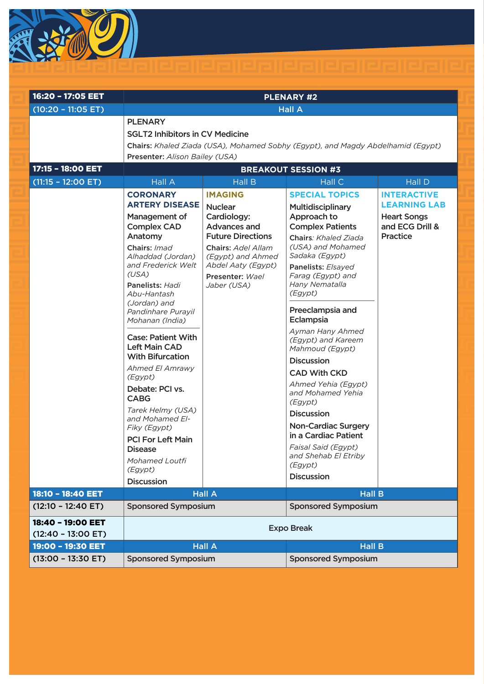

| 16:20 - 17:05 EET                         | <b>PLENARY #2</b>                                                                                                                                                                                                                                                                                                                                                                                                                                                                                                                            |                                                                                                                                                                                                       |                                                                                                                                                                                                                                                                                                                                                                                                                                                                                                                                                                                        |                                                                                                |
|-------------------------------------------|----------------------------------------------------------------------------------------------------------------------------------------------------------------------------------------------------------------------------------------------------------------------------------------------------------------------------------------------------------------------------------------------------------------------------------------------------------------------------------------------------------------------------------------------|-------------------------------------------------------------------------------------------------------------------------------------------------------------------------------------------------------|----------------------------------------------------------------------------------------------------------------------------------------------------------------------------------------------------------------------------------------------------------------------------------------------------------------------------------------------------------------------------------------------------------------------------------------------------------------------------------------------------------------------------------------------------------------------------------------|------------------------------------------------------------------------------------------------|
| $(10:20 - 11:05 E T)$                     |                                                                                                                                                                                                                                                                                                                                                                                                                                                                                                                                              |                                                                                                                                                                                                       | <b>Hall A</b>                                                                                                                                                                                                                                                                                                                                                                                                                                                                                                                                                                          |                                                                                                |
| 17:15 - 18:00 EET                         | <b>PLENARY</b><br><b>SGLT2 Inhibitors in CV Medicine</b><br>Chairs: Khaled Ziada (USA), Mohamed Sobhy (Egypt), and Magdy Abdelhamid (Egypt)<br>Presenter: Alison Bailey (USA)<br><b>BREAKOUT SESSION #3</b>                                                                                                                                                                                                                                                                                                                                  |                                                                                                                                                                                                       |                                                                                                                                                                                                                                                                                                                                                                                                                                                                                                                                                                                        |                                                                                                |
| $(11:15 - 12:00 ET)$                      | <b>Hall A</b>                                                                                                                                                                                                                                                                                                                                                                                                                                                                                                                                | <b>Hall B</b>                                                                                                                                                                                         | <b>Hall C</b>                                                                                                                                                                                                                                                                                                                                                                                                                                                                                                                                                                          | Hall D                                                                                         |
|                                           | <b>CORONARY</b><br><b>ARTERY DISEASE</b><br>Management of<br><b>Complex CAD</b><br>Anatomy<br>Chairs: Imad<br>Alhaddad (Jordan)<br>and Frederick Welt<br>(USA)<br>Panelists: Hadi<br>Abu-Hantash<br>(Jordan) and<br>Pandinhare Purayil<br>Mohanan (India)<br><b>Case: Patient With</b><br><b>Left Main CAD</b><br><b>With Bifurcation</b><br>Ahmed El Amrawy<br>(Egypt)<br>Debate: PCI vs.<br><b>CABG</b><br>Tarek Helmy (USA)<br>and Mohamed El-<br>Fiky (Egypt)<br><b>PCI For Left Main</b><br><b>Disease</b><br>Mohamed Loutfi<br>(Egypt) | <b>IMAGING</b><br><b>Nuclear</b><br>Cardiology:<br><b>Advances and</b><br><b>Future Directions</b><br>Chairs: Adel Allam<br>(Egypt) and Ahmed<br>Abdel Aaty (Egypt)<br>Presenter: Wael<br>Jaber (USA) | <b>SPECIAL TOPICS</b><br>Multidisciplinary<br>Approach to<br><b>Complex Patients</b><br>Chairs: Khaled Ziada<br>(USA) and Mohamed<br>Sadaka (Egypt)<br>Panelists: Elsayed<br>Farag (Egypt) and<br>Hany Nematalla<br>(Egypt)<br>Preeclampsia and<br>Eclampsia<br>Ayman Hany Ahmed<br>(Egypt) and Kareem<br>Mahmoud (Egypt)<br><b>Discussion</b><br><b>CAD With CKD</b><br>Ahmed Yehia (Egypt)<br>and Mohamed Yehia<br>(Egypt)<br><b>Discussion</b><br><b>Non-Cardiac Surgery</b><br>in a Cardiac Patient<br>Faisal Said (Egypt)<br>and Shehab El Etriby<br>(Egypt)<br><b>Discussion</b> | <b>INTERACTIVE</b><br><b>LEARNING LAB</b><br><b>Heart Songs</b><br>and ECG Drill &<br>Practice |
| 18:10 - 18:40 EET                         | <b>Discussion</b>                                                                                                                                                                                                                                                                                                                                                                                                                                                                                                                            | <b>Hall A</b>                                                                                                                                                                                         | <b>Hall B</b>                                                                                                                                                                                                                                                                                                                                                                                                                                                                                                                                                                          |                                                                                                |
| $(12:10 - 12:40 ET)$                      | <b>Sponsored Symposium</b>                                                                                                                                                                                                                                                                                                                                                                                                                                                                                                                   |                                                                                                                                                                                                       | <b>Sponsored Symposium</b>                                                                                                                                                                                                                                                                                                                                                                                                                                                                                                                                                             |                                                                                                |
| 18:40 - 19:00 EET<br>$(12:40 - 13:00$ ET) | <b>Expo Break</b>                                                                                                                                                                                                                                                                                                                                                                                                                                                                                                                            |                                                                                                                                                                                                       |                                                                                                                                                                                                                                                                                                                                                                                                                                                                                                                                                                                        |                                                                                                |
| 19:00 - 19:30 EET                         |                                                                                                                                                                                                                                                                                                                                                                                                                                                                                                                                              | <b>Hall A</b>                                                                                                                                                                                         | <b>Hall B</b>                                                                                                                                                                                                                                                                                                                                                                                                                                                                                                                                                                          |                                                                                                |
| $(13:00 - 13:30$ ET)                      | <b>Sponsored Symposium</b>                                                                                                                                                                                                                                                                                                                                                                                                                                                                                                                   |                                                                                                                                                                                                       | <b>Sponsored Symposium</b>                                                                                                                                                                                                                                                                                                                                                                                                                                                                                                                                                             |                                                                                                |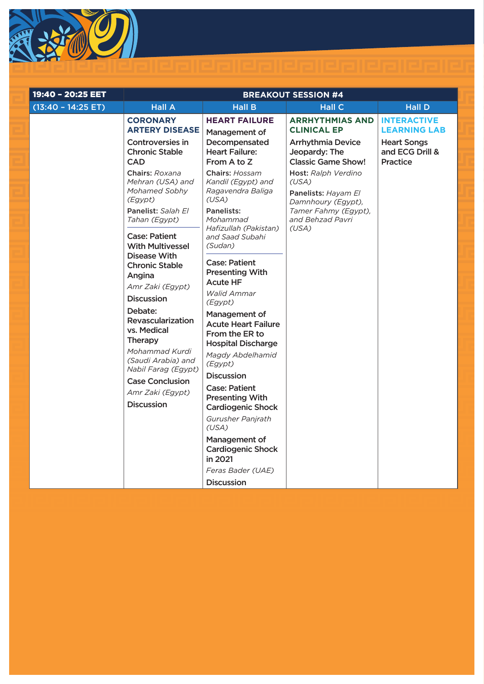

| 19:40 - 20:25 EET     | <b>BREAKOUT SESSION #4</b>                                                                            |                                                                                                                |                                                                                                                        |                                                                                                       |
|-----------------------|-------------------------------------------------------------------------------------------------------|----------------------------------------------------------------------------------------------------------------|------------------------------------------------------------------------------------------------------------------------|-------------------------------------------------------------------------------------------------------|
| $(13:40 - 14:25 E T)$ | <b>Hall A</b>                                                                                         | <b>Hall B</b>                                                                                                  | <b>Hall C</b>                                                                                                          | <b>Hall D</b>                                                                                         |
|                       | <b>CORONARY</b><br><b>ARTERY DISEASE</b><br>Controversies in<br><b>Chronic Stable</b><br><b>CAD</b>   | <b>HEART FAILURE</b><br>Management of<br>Decompensated<br><b>Heart Failure:</b><br>From A to Z                 | <b>ARRHYTHMIAS AND</b><br><b>CLINICAL EP</b><br><b>Arrhythmia Device</b><br>Jeopardy: The<br><b>Classic Game Show!</b> | <b>INTERACTIVE</b><br><b>LEARNING LAB</b><br><b>Heart Songs</b><br>and ECG Drill &<br><b>Practice</b> |
|                       | Chairs: Roxana<br>Mehran (USA) and<br>Mohamed Sobhy<br>(Egypt)<br>Panelist: Salah El<br>Tahan (Egypt) | Chairs: Hossam<br>Kandil (Egypt) and<br>Ragavendra Baliga<br>(USA)<br>Panelists:<br>Mohammad                   | Host: Ralph Verdino<br>(USA)<br>Panelists: Hayam El<br>Damnhoury (Egypt),<br>Tamer Fahmy (Egypt),<br>and Behzad Pavri  |                                                                                                       |
|                       | <b>Case: Patient</b><br><b>With Multivessel</b><br>Disease With                                       | Hafizullah (Pakistan)<br>and Saad Subahi<br>(Sudan)                                                            | (USA)                                                                                                                  |                                                                                                       |
|                       | <b>Chronic Stable</b><br>Angina<br>Amr Zaki (Egypt)                                                   | <b>Case: Patient</b><br><b>Presenting With</b><br><b>Acute HF</b>                                              |                                                                                                                        |                                                                                                       |
|                       | <b>Discussion</b>                                                                                     | <b>Walid Ammar</b><br>(Egypt)                                                                                  |                                                                                                                        |                                                                                                       |
|                       | Debate:<br>Revascularization<br>vs. Medical<br>Therapy<br>Mohammad Kurdi                              | Management of<br><b>Acute Heart Failure</b><br>From the ER to<br><b>Hospital Discharge</b><br>Magdy Abdelhamid |                                                                                                                        |                                                                                                       |
|                       | (Saudi Arabia) and<br>Nabil Farag (Egypt)<br><b>Case Conclusion</b>                                   | (Egypt)<br><b>Discussion</b>                                                                                   |                                                                                                                        |                                                                                                       |
|                       | Amr Zaki (Egypt)<br><b>Discussion</b>                                                                 | <b>Case: Patient</b><br><b>Presenting With</b><br><b>Cardiogenic Shock</b>                                     |                                                                                                                        |                                                                                                       |
|                       |                                                                                                       | Gurusher Panjrath<br>(USA)                                                                                     |                                                                                                                        |                                                                                                       |
|                       |                                                                                                       | Management of<br><b>Cardiogenic Shock</b><br>in 2021                                                           |                                                                                                                        |                                                                                                       |
|                       |                                                                                                       | Feras Bader (UAE)<br><b>Discussion</b>                                                                         |                                                                                                                        |                                                                                                       |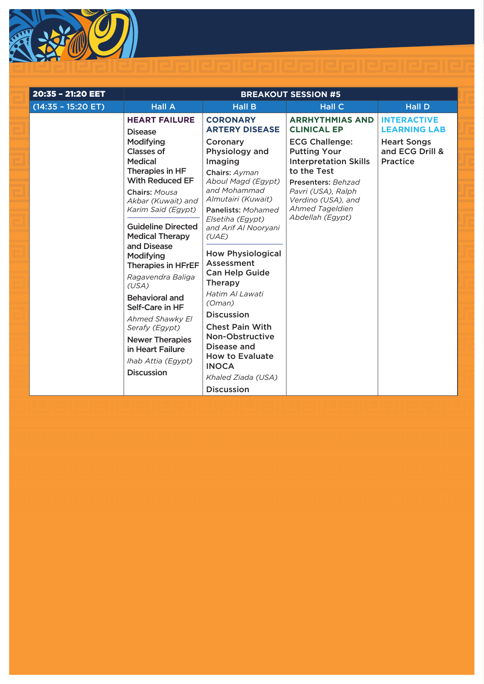

| 20:35 - 21:20 EET    | <b>BREAKOUT SESSION #5</b>                                                                                                                                                                                                                                    |                                                                                                                                                                                                                                                                 |                                                                              |                                                   |
|----------------------|---------------------------------------------------------------------------------------------------------------------------------------------------------------------------------------------------------------------------------------------------------------|-----------------------------------------------------------------------------------------------------------------------------------------------------------------------------------------------------------------------------------------------------------------|------------------------------------------------------------------------------|---------------------------------------------------|
| $(14:35 - 15:20 ET)$ | <b>Hall A</b>                                                                                                                                                                                                                                                 | <b>Hall B</b>                                                                                                                                                                                                                                                   | <b>Hall C</b>                                                                | <b>Hall D</b>                                     |
|                      | <b>HEART FAILURE</b><br><b>Disease</b>                                                                                                                                                                                                                        | <b>CORONARY</b><br><b>ARTERY DISEASE</b>                                                                                                                                                                                                                        | <b>ARRHYTHMIAS AND</b><br><b>CLINICAL EP</b>                                 | <b>INTERACTIVE</b><br><b>LEARNING LAB</b>         |
|                      | <b>Modifying</b><br><b>Classes of</b><br><b>Medical</b>                                                                                                                                                                                                       | Coronary<br>Physiology and<br>Imaging                                                                                                                                                                                                                           | <b>ECG Challenge:</b><br><b>Putting Your</b><br><b>Interpretation Skills</b> | <b>Heart Songs</b><br>and ECG Drill &<br>Practice |
|                      | Therapies in HF<br><b>With Reduced EF</b>                                                                                                                                                                                                                     | Chairs: Ayman<br>Aboul Magd (Egypt)                                                                                                                                                                                                                             | to the Test<br>Presenters: Behzad                                            |                                                   |
|                      | Chairs: Mousa<br>Akbar (Kuwait) and<br>Karim Said (Egypt)                                                                                                                                                                                                     | and Mohammad<br>Almutairi (Kuwait)<br>Panelists: Mohamed                                                                                                                                                                                                        | Pavri (USA), Ralph<br>Verdino (USA), and<br>Ahmed Tageldien                  |                                                   |
|                      | <b>Guideline Directed</b><br><b>Medical Therapy</b>                                                                                                                                                                                                           | Elsetiha (Egypt)<br>and Arif Al Nooryani<br>(UAE)                                                                                                                                                                                                               | Abdellah (Egypt)                                                             |                                                   |
|                      | and Disease<br>Modifying<br><b>Therapies in HFrEF</b><br>Ragavendra Baliga<br>(USA)<br><b>Behavioral and</b><br>Self-Care in HF<br>Ahmed Shawky El<br>Serafy (Egypt)<br><b>Newer Therapies</b><br>in Heart Failure<br>Ihab Attia (Egypt)<br><b>Discussion</b> | <b>How Physiological</b><br>Assessment<br><b>Can Help Guide</b><br><b>Therapy</b><br>Hatim Al Lawati<br>(Oman)<br><b>Discussion</b><br><b>Chest Pain With</b><br>Non-Obstructive<br>Disease and<br><b>How to Evaluate</b><br><b>INOCA</b><br>Khaled Ziada (USA) |                                                                              |                                                   |
|                      |                                                                                                                                                                                                                                                               | <b>Discussion</b>                                                                                                                                                                                                                                               |                                                                              |                                                   |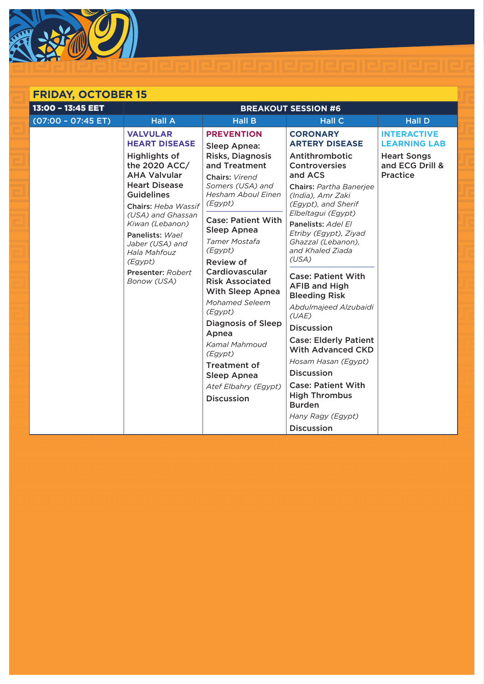

## **FRIDAY, OCTOBER 15**

| 13:00 - 13:45 EET     | <b>BREAKOUT SESSION #6</b>                                       |                                                                     |                                                                           |                                                          |
|-----------------------|------------------------------------------------------------------|---------------------------------------------------------------------|---------------------------------------------------------------------------|----------------------------------------------------------|
| $(07:00 - 07:45 E T)$ | <b>Hall A</b>                                                    | <b>Hall B</b>                                                       | <b>Hall C</b>                                                             | <b>Hall D</b>                                            |
|                       | <b>VALVULAR</b><br><b>HEART DISEASE</b>                          | <b>PREVENTION</b><br>Sleep Apnea:                                   | <b>CORONARY</b><br><b>ARTERY DISEASE</b>                                  | <b>INTERACTIVE</b><br><b>LEARNING LAB</b>                |
|                       | Highlights of<br>the 2020 ACC/<br><b>AHA Valvular</b>            | Risks, Diagnosis<br>and Treatment<br>Chairs: Virend                 | Antithrombotic<br><b>Controversies</b><br>and ACS                         | <b>Heart Songs</b><br>and ECG Drill &<br><b>Practice</b> |
|                       | <b>Heart Disease</b><br><b>Guidelines</b><br>Chairs: Heba Wassif | Somers (USA) and<br><b>Hesham Aboul Einen</b><br>(Egypt)            | Chairs: Partha Banerjee<br>(India), Amr Zaki<br>(Egypt), and Sherif       |                                                          |
|                       | (USA) and Ghassan<br>Kiwan (Lebanon)                             | <b>Case: Patient With</b><br>Sleep Apnea                            | Elbeltagui (Egypt)<br>Panelists: Adel El                                  |                                                          |
|                       | Panelists: Wael<br>Jaber (USA) and<br>Hala Mahfouz               | <b>Tamer Mostafa</b><br>(Egypt)                                     | Etriby (Egypt), Ziyad<br>Ghazzal (Lebanon),<br>and Khaled Ziada           |                                                          |
|                       | (Egypt)                                                          | Review of                                                           | (USA)                                                                     |                                                          |
|                       | Presenter: Robert<br>Bonow (USA)                                 | Cardiovascular<br><b>Risk Associated</b><br><b>With Sleep Apnea</b> | <b>Case: Patient With</b><br><b>AFIB and High</b><br><b>Bleeding Risk</b> |                                                          |
|                       |                                                                  | Mohamed Seleem<br>(Egypt)                                           | Abdulmajeed Alzubaidi<br>(UAE)                                            |                                                          |
|                       |                                                                  | <b>Diagnosis of Sleep</b>                                           | <b>Discussion</b>                                                         |                                                          |
|                       |                                                                  | Apnea<br>Kamal Mahmoud<br>(Egypt)                                   | <b>Case: Elderly Patient</b><br><b>With Advanced CKD</b>                  |                                                          |
|                       |                                                                  | <b>Treatment of</b>                                                 | Hosam Hasan (Egypt)                                                       |                                                          |
|                       |                                                                  | <b>Sleep Apnea</b>                                                  | <b>Discussion</b>                                                         |                                                          |
|                       |                                                                  | Atef Elbahry (Egypt)<br><b>Discussion</b>                           | <b>Case: Patient With</b><br><b>High Thrombus</b><br><b>Burden</b>        |                                                          |
|                       |                                                                  |                                                                     | Hany Ragy (Egypt)                                                         |                                                          |
|                       |                                                                  |                                                                     | <b>Discussion</b>                                                         |                                                          |

<u> | ealealealea | ealealea | e.</u>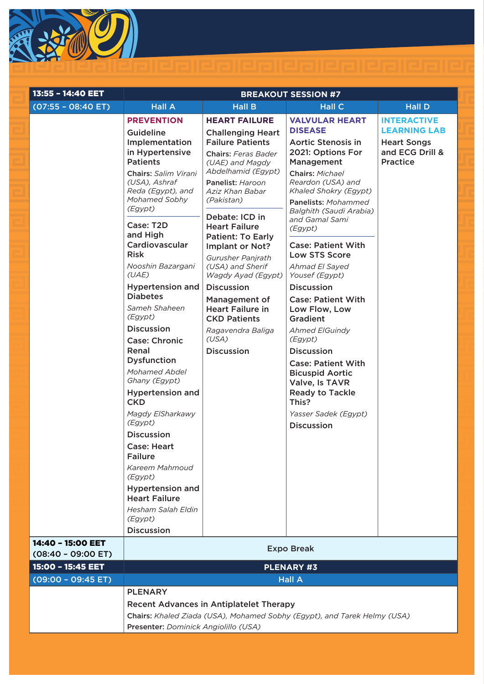

| 13:55 - 14:40 EET     |                                                                                                                                                                                                                                                                                                                                                                                                                                                                                                                                                                                                                                                                                                                        |                                                                                                                                                                                                                                                                                                                                                                                                                                                                                                            | <b>BREAKOUT SESSION #7</b>                                                                                                                                                                                                                                                                                                                                                                                                                                                                                                                                                                                                                               |                                                                                                       |
|-----------------------|------------------------------------------------------------------------------------------------------------------------------------------------------------------------------------------------------------------------------------------------------------------------------------------------------------------------------------------------------------------------------------------------------------------------------------------------------------------------------------------------------------------------------------------------------------------------------------------------------------------------------------------------------------------------------------------------------------------------|------------------------------------------------------------------------------------------------------------------------------------------------------------------------------------------------------------------------------------------------------------------------------------------------------------------------------------------------------------------------------------------------------------------------------------------------------------------------------------------------------------|----------------------------------------------------------------------------------------------------------------------------------------------------------------------------------------------------------------------------------------------------------------------------------------------------------------------------------------------------------------------------------------------------------------------------------------------------------------------------------------------------------------------------------------------------------------------------------------------------------------------------------------------------------|-------------------------------------------------------------------------------------------------------|
| $(07:55 - 08:40 ET)$  | <b>Hall A</b>                                                                                                                                                                                                                                                                                                                                                                                                                                                                                                                                                                                                                                                                                                          | <b>Hall B</b>                                                                                                                                                                                                                                                                                                                                                                                                                                                                                              | <b>Hall C</b>                                                                                                                                                                                                                                                                                                                                                                                                                                                                                                                                                                                                                                            | <b>Hall D</b>                                                                                         |
|                       | <b>PREVENTION</b><br>Guideline<br>Implementation<br>in Hypertensive<br><b>Patients</b><br>Chairs: Salim Virani<br>(USA), Ashraf<br>Reda (Egypt), and<br>Mohamed Sobhy<br>(Egypt)<br>Case: T2D<br>and High<br>Cardiovascular<br><b>Risk</b><br>Nooshin Bazargani<br>(UAE)<br><b>Hypertension and</b><br><b>Diabetes</b><br>Sameh Shaheen<br>(Egypt)<br><b>Discussion</b><br><b>Case: Chronic</b><br>Renal<br><b>Dysfunction</b><br>Mohamed Abdel<br>Ghany (Egypt)<br><b>Hypertension and</b><br><b>CKD</b><br>Magdy ElSharkawy<br>(Egypt)<br><b>Discussion</b><br><b>Case: Heart</b><br><b>Failure</b><br>Kareem Mahmoud<br>(Egypt)<br><b>Hypertension and</b><br><b>Heart Failure</b><br>Hesham Salah Eldin<br>(Egypt) | <b>HEART FAILURE</b><br><b>Challenging Heart</b><br><b>Failure Patients</b><br>Chairs: Feras Bader<br>(UAE) and Magdy<br>Abdelhamid (Egypt)<br>Panelist: Haroon<br>Aziz Khan Babar<br>(Pakistan)<br>Debate: ICD in<br><b>Heart Failure</b><br><b>Patient: To Early</b><br><b>Implant or Not?</b><br>Gurusher Panjrath<br>(USA) and Sherif<br>Wagdy Ayad (Egypt)<br><b>Discussion</b><br>Management of<br><b>Heart Failure in</b><br><b>CKD Patients</b><br>Ragavendra Baliga<br>(USA)<br><b>Discussion</b> | <b>VALVULAR HEART</b><br><b>DISEASE</b><br><b>Aortic Stenosis in</b><br>2021: Options For<br>Management<br>Chairs: Michael<br>Reardon (USA) and<br>Khaled Shokry (Egypt)<br>Panelists: Mohammed<br>Balghith (Saudi Arabia)<br>and Gamal Sami<br>(Egypt)<br><b>Case: Patient With</b><br><b>Low STS Score</b><br>Ahmad El Sayed<br>Yousef (Egypt)<br><b>Discussion</b><br><b>Case: Patient With</b><br>Low Flow, Low<br><b>Gradient</b><br><b>Ahmed ElGuindy</b><br>(Egypt)<br><b>Discussion</b><br><b>Case: Patient With</b><br><b>Bicuspid Aortic</b><br>Valve, Is TAVR<br><b>Ready to Tackle</b><br>This?<br>Yasser Sadek (Egypt)<br><b>Discussion</b> | <b>INTERACTIVE</b><br><b>LEARNING LAB</b><br><b>Heart Songs</b><br>and ECG Drill &<br><b>Practice</b> |
|                       | <b>Discussion</b>                                                                                                                                                                                                                                                                                                                                                                                                                                                                                                                                                                                                                                                                                                      |                                                                                                                                                                                                                                                                                                                                                                                                                                                                                                            |                                                                                                                                                                                                                                                                                                                                                                                                                                                                                                                                                                                                                                                          |                                                                                                       |
| 14:40 - 15:00 EET     | <b>Expo Break</b>                                                                                                                                                                                                                                                                                                                                                                                                                                                                                                                                                                                                                                                                                                      |                                                                                                                                                                                                                                                                                                                                                                                                                                                                                                            |                                                                                                                                                                                                                                                                                                                                                                                                                                                                                                                                                                                                                                                          |                                                                                                       |
| $(08:40 - 09:00 E)$   |                                                                                                                                                                                                                                                                                                                                                                                                                                                                                                                                                                                                                                                                                                                        |                                                                                                                                                                                                                                                                                                                                                                                                                                                                                                            |                                                                                                                                                                                                                                                                                                                                                                                                                                                                                                                                                                                                                                                          |                                                                                                       |
| 15:00 - 15:45 EET     |                                                                                                                                                                                                                                                                                                                                                                                                                                                                                                                                                                                                                                                                                                                        | <b>PLENARY #3</b>                                                                                                                                                                                                                                                                                                                                                                                                                                                                                          |                                                                                                                                                                                                                                                                                                                                                                                                                                                                                                                                                                                                                                                          |                                                                                                       |
| $(09:00 - 09:45 E T)$ | <b>Hall A</b>                                                                                                                                                                                                                                                                                                                                                                                                                                                                                                                                                                                                                                                                                                          |                                                                                                                                                                                                                                                                                                                                                                                                                                                                                                            |                                                                                                                                                                                                                                                                                                                                                                                                                                                                                                                                                                                                                                                          |                                                                                                       |
|                       | <b>PLENARY</b>                                                                                                                                                                                                                                                                                                                                                                                                                                                                                                                                                                                                                                                                                                         |                                                                                                                                                                                                                                                                                                                                                                                                                                                                                                            |                                                                                                                                                                                                                                                                                                                                                                                                                                                                                                                                                                                                                                                          |                                                                                                       |
|                       | <b>Recent Advances in Antiplatelet Therapy</b>                                                                                                                                                                                                                                                                                                                                                                                                                                                                                                                                                                                                                                                                         |                                                                                                                                                                                                                                                                                                                                                                                                                                                                                                            |                                                                                                                                                                                                                                                                                                                                                                                                                                                                                                                                                                                                                                                          |                                                                                                       |
|                       |                                                                                                                                                                                                                                                                                                                                                                                                                                                                                                                                                                                                                                                                                                                        |                                                                                                                                                                                                                                                                                                                                                                                                                                                                                                            | Chairs: Khaled Ziada (USA), Mohamed Sobhy (Egypt), and Tarek Helmy (USA)                                                                                                                                                                                                                                                                                                                                                                                                                                                                                                                                                                                 |                                                                                                       |
|                       | Presenter: Dominick Angiolillo (USA)                                                                                                                                                                                                                                                                                                                                                                                                                                                                                                                                                                                                                                                                                   |                                                                                                                                                                                                                                                                                                                                                                                                                                                                                                            |                                                                                                                                                                                                                                                                                                                                                                                                                                                                                                                                                                                                                                                          |                                                                                                       |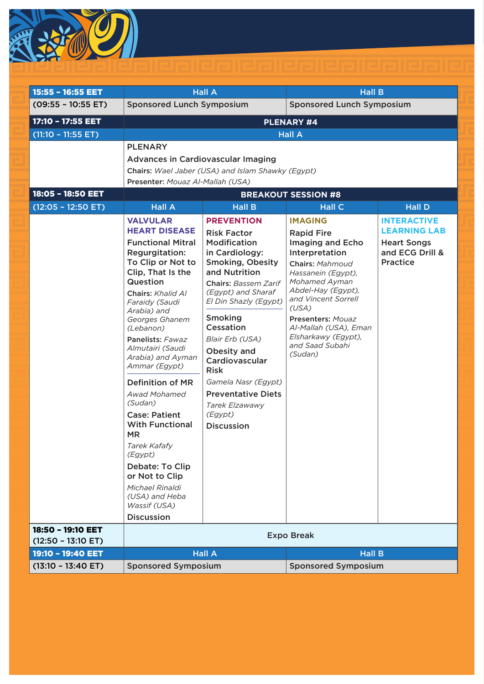

| 15:55 - 16:55 EET                         | <b>Hall A</b>                                                                                                                                                                                                                                                                                                                                                                                                                                                                                                                                              |                                                                                                                                                                                                                                                                                                                                                                                        |                                                                                                                                                                                                                                                                            | <b>Hall B</b>                                                                   |  |
|-------------------------------------------|------------------------------------------------------------------------------------------------------------------------------------------------------------------------------------------------------------------------------------------------------------------------------------------------------------------------------------------------------------------------------------------------------------------------------------------------------------------------------------------------------------------------------------------------------------|----------------------------------------------------------------------------------------------------------------------------------------------------------------------------------------------------------------------------------------------------------------------------------------------------------------------------------------------------------------------------------------|----------------------------------------------------------------------------------------------------------------------------------------------------------------------------------------------------------------------------------------------------------------------------|---------------------------------------------------------------------------------|--|
| $(09:55 - 10:55 ET)$                      | <b>Sponsored Lunch Symposium</b><br><b>Sponsored Lunch Symposium</b>                                                                                                                                                                                                                                                                                                                                                                                                                                                                                       |                                                                                                                                                                                                                                                                                                                                                                                        |                                                                                                                                                                                                                                                                            |                                                                                 |  |
| 17:10 - 17:55 EET                         | <b>PLENARY #4</b>                                                                                                                                                                                                                                                                                                                                                                                                                                                                                                                                          |                                                                                                                                                                                                                                                                                                                                                                                        |                                                                                                                                                                                                                                                                            |                                                                                 |  |
| $(11:10 - 11:55 ET)$                      |                                                                                                                                                                                                                                                                                                                                                                                                                                                                                                                                                            |                                                                                                                                                                                                                                                                                                                                                                                        | <b>Hall A</b>                                                                                                                                                                                                                                                              |                                                                                 |  |
| 18:05 - 18:50 EET<br>$(12:05 - 12:50 ET)$ | <b>PLENARY</b><br><b>Advances in Cardiovascular Imaging</b><br>Chairs: Wael Jaber (USA) and Islam Shawky (Egypt)<br>Presenter: Mouaz Al-Mallah (USA)<br><b>BREAKOUT SESSION #8</b><br><b>Hall A</b><br><b>Hall C</b><br><b>Hall D</b><br><b>Hall B</b>                                                                                                                                                                                                                                                                                                     |                                                                                                                                                                                                                                                                                                                                                                                        |                                                                                                                                                                                                                                                                            |                                                                                 |  |
|                                           | <b>VALVULAR</b>                                                                                                                                                                                                                                                                                                                                                                                                                                                                                                                                            | <b>PREVENTION</b>                                                                                                                                                                                                                                                                                                                                                                      | <b>IMAGING</b>                                                                                                                                                                                                                                                             | <b>INTERACTIVE</b>                                                              |  |
|                                           | <b>HEART DISEASE</b><br><b>Functional Mitral</b><br>Regurgitation:<br>To Clip or Not to<br>Clip, That Is the<br>Question<br>Chairs: Khalid Al<br>Faraidy (Saudi<br>Arabia) and<br>Georges Ghanem<br>(Lebanon)<br>Panelists: Fawaz<br>Almutairi (Saudi<br>Arabia) and Ayman<br>Ammar (Egypt)<br>Definition of MR<br><b>Awad Mohamed</b><br>(Sudan)<br><b>Case: Patient</b><br><b>With Functional</b><br><b>MR</b><br>Tarek Kafafy<br>(Egypt)<br>Debate: To Clip<br>or Not to Clip<br>Michael Rinaldi<br>(USA) and Heba<br>Wassif (USA)<br><b>Discussion</b> | <b>Risk Factor</b><br><b>Modification</b><br>in Cardiology:<br><b>Smoking, Obesity</b><br>and Nutrition<br><b>Chairs: Bassem Zarif</b><br>(Egypt) and Sharaf<br>El Din Shazly (Egypt)<br>Smoking<br>Cessation<br>Blair Erb (USA)<br>Obesity and<br>Cardiovascular<br><b>Risk</b><br>Gamela Nasr (Egypt)<br><b>Preventative Diets</b><br>Tarek Elzawawy<br>(Egypt)<br><b>Discussion</b> | <b>Rapid Fire</b><br>Imaging and Echo<br>Interpretation<br>Chairs: Mahmoud<br>Hassanein (Egypt),<br>Mohamed Ayman<br>Abdel-Hay (Egypt),<br>and Vincent Sorrell<br>(USA)<br>Presenters: Mouaz<br>Al-Mallah (USA), Eman<br>Elsharkawy (Egypt),<br>and Saad Subahi<br>(Sudan) | <b>LEARNING LAB</b><br><b>Heart Songs</b><br>and ECG Drill &<br><b>Practice</b> |  |
| 18:50 - 19:10 EET                         |                                                                                                                                                                                                                                                                                                                                                                                                                                                                                                                                                            |                                                                                                                                                                                                                                                                                                                                                                                        |                                                                                                                                                                                                                                                                            |                                                                                 |  |
| $(12:50 - 13:10$ ET)                      |                                                                                                                                                                                                                                                                                                                                                                                                                                                                                                                                                            |                                                                                                                                                                                                                                                                                                                                                                                        | <b>Expo Break</b>                                                                                                                                                                                                                                                          |                                                                                 |  |
| 19:10 - 19:40 EET                         |                                                                                                                                                                                                                                                                                                                                                                                                                                                                                                                                                            | <b>Hall A</b>                                                                                                                                                                                                                                                                                                                                                                          | <b>Hall B</b>                                                                                                                                                                                                                                                              |                                                                                 |  |
| $(13:10 - 13:40$ ET)                      | <b>Sponsored Symposium</b>                                                                                                                                                                                                                                                                                                                                                                                                                                                                                                                                 |                                                                                                                                                                                                                                                                                                                                                                                        | <b>Sponsored Symposium</b>                                                                                                                                                                                                                                                 |                                                                                 |  |